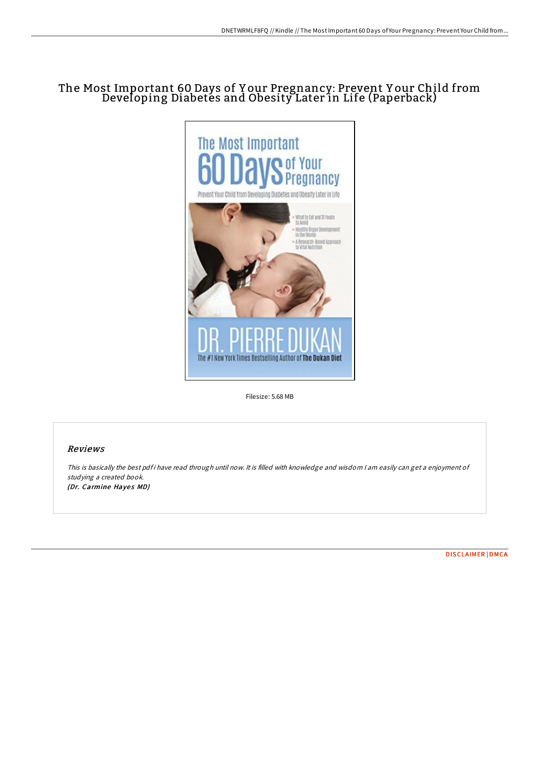# The Most Important 60 Days of Y our Pregnancy: Prevent Y our Child from Developing Diabetes and Obesity Later in Life (Paperback)



Filesize: 5.68 MB

## Reviews

This is basically the best pdf i have read through until now. It is filled with knowledge and wisdom I am easily can get a enjoyment of studying <sup>a</sup> created book. (Dr. Carmine Hayes MD)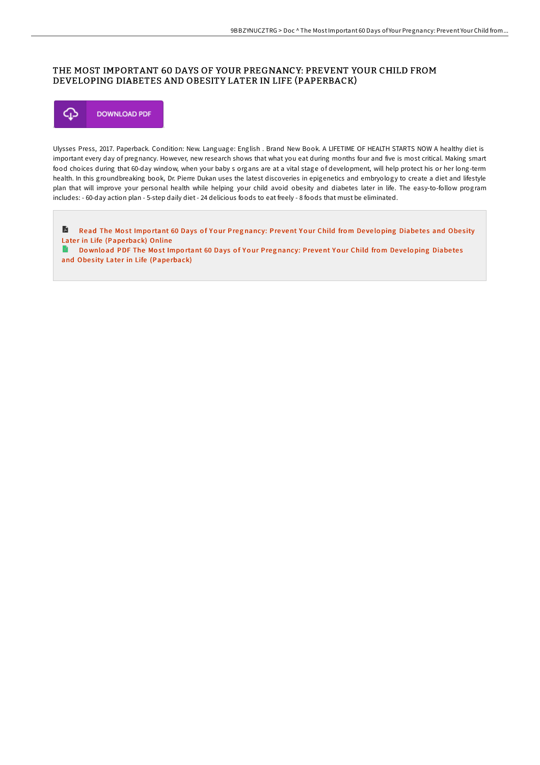## THE MOST IMPORTANT 60 DAYS OF YOUR PREGNANCY: PREVENT YOUR CHILD FROM DEVELOPING DIABETES AND OBESITY LATER IN LIFE (PAPERBACK)



Ulysses Press, 2017. Paperback. Condition: New. Language: English . Brand New Book. A LIFETIME OF HEALTH STARTS NOW A healthy diet is important every day of pregnancy. However, new research shows that what you eat during months four and five is most critical. Making smart food choices during that 60-day window, when your baby s organs are at a vital stage of development, will help protect his or her long-term health. In this groundbreaking book, Dr. Pierre Dukan uses the latest discoveries in epigenetics and embryology to create a diet and lifestyle plan that will improve your personal health while helping your child avoid obesity and diabetes later in life. The easy-to-follow program includes: - 60-day action plan - 5-step daily diet - 24 delicious foods to eat freely - 8 foods that must be eliminated.

E Read The Most Important 60 Days of Your Preg[nancy:](http://almighty24.tech/the-most-important-60-days-of-your-pregnancy-pre.html) Prevent Your Child from Developing Diabetes and Obesity Later in Life (Paperback) Online

 $\blacksquare$ Download PDF The Most Important 60 Days of Your Preg[nancy:](http://almighty24.tech/the-most-important-60-days-of-your-pregnancy-pre.html) Prevent Your Child from Developing Diabetes and Obesity Later in Life (Paperback)